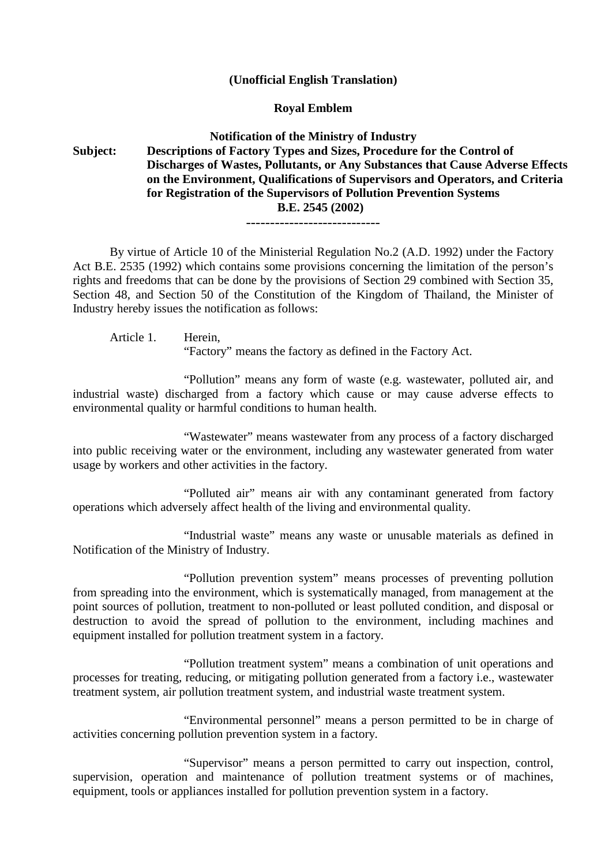## **(Unofficial English Translation)**

### **Royal Emblem**

# **Notification of the Ministry of Industry Subject: Descriptions of Factory Types and Sizes, Procedure for the Control of Discharges of Wastes, Pollutants, or Any Substances that Cause Adverse Effects on the Environment, Qualifications of Supervisors and Operators, and Criteria for Registration of the Supervisors of Pollution Prevention Systems B.E. 2545 (2002)**

----------------------------

By virtue of Article 10 of the Ministerial Regulation No.2 (A.D. 1992) under the Factory Act B.E. 2535 (1992) which contains some provisions concerning the limitation of the person's rights and freedoms that can be done by the provisions of Section 29 combined with Section 35, Section 48, and Section 50 of the Constitution of the Kingdom of Thailand, the Minister of Industry hereby issues the notification as follows:

Article 1. Herein,

"Factory" means the factory as defined in the Factory Act.

"Pollution" means any form of waste (e.g. wastewater, polluted air, and industrial waste) discharged from a factory which cause or may cause adverse effects to environmental quality or harmful conditions to human health.

"Wastewater" means wastewater from any process of a factory discharged into public receiving water or the environment, including any wastewater generated from water usage by workers and other activities in the factory.

"Polluted air" means air with any contaminant generated from factory operations which adversely affect health of the living and environmental quality.

"Industrial waste" means any waste or unusable materials as defined in Notification of the Ministry of Industry.

"Pollution prevention system" means processes of preventing pollution from spreading into the environment, which is systematically managed, from management at the point sources of pollution, treatment to non-polluted or least polluted condition, and disposal or destruction to avoid the spread of pollution to the environment, including machines and equipment installed for pollution treatment system in a factory.

"Pollution treatment system" means a combination of unit operations and processes for treating, reducing, or mitigating pollution generated from a factory i.e., wastewater treatment system, air pollution treatment system, and industrial waste treatment system.

"Environmental personnel" means a person permitted to be in charge of activities concerning pollution prevention system in a factory.

"Supervisor" means a person permitted to carry out inspection, control, supervision, operation and maintenance of pollution treatment systems or of machines, equipment, tools or appliances installed for pollution prevention system in a factory.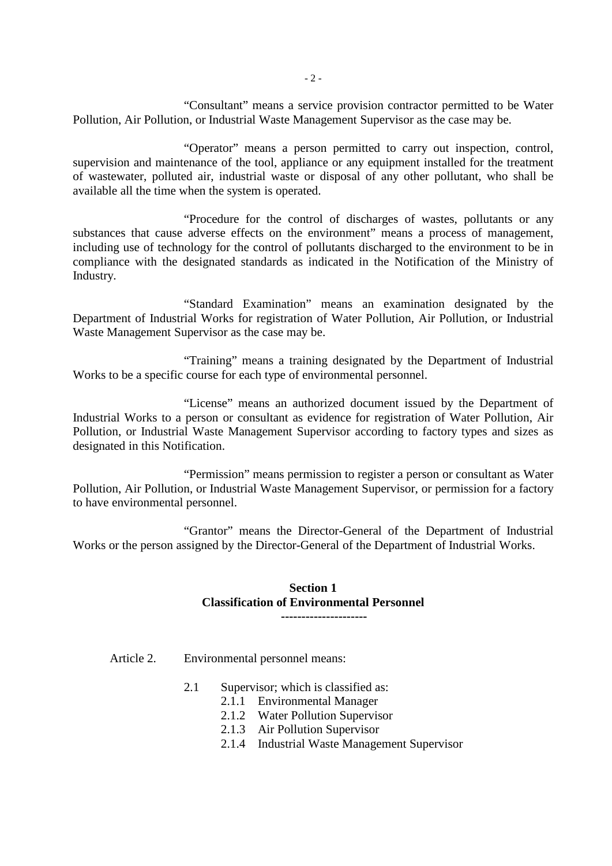"Consultant" means a service provision contractor permitted to be Water Pollution, Air Pollution, or Industrial Waste Management Supervisor as the case may be.

"Operator" means a person permitted to carry out inspection, control, supervision and maintenance of the tool, appliance or any equipment installed for the treatment of wastewater, polluted air, industrial waste or disposal of any other pollutant, who shall be available all the time when the system is operated.

"Procedure for the control of discharges of wastes, pollutants or any substances that cause adverse effects on the environment" means a process of management, including use of technology for the control of pollutants discharged to the environment to be in compliance with the designated standards as indicated in the Notification of the Ministry of Industry.

"Standard Examination" means an examination designated by the Department of Industrial Works for registration of Water Pollution, Air Pollution, or Industrial Waste Management Supervisor as the case may be.

"Training" means a training designated by the Department of Industrial Works to be a specific course for each type of environmental personnel.

"License" means an authorized document issued by the Department of Industrial Works to a person or consultant as evidence for registration of Water Pollution, Air Pollution, or Industrial Waste Management Supervisor according to factory types and sizes as designated in this Notification.

"Permission" means permission to register a person or consultant as Water Pollution, Air Pollution, or Industrial Waste Management Supervisor, or permission for a factory to have environmental personnel.

"Grantor" means the Director-General of the Department of Industrial Works or the person assigned by the Director-General of the Department of Industrial Works.

### **Section 1 Classification of Environmental Personnel ---------------------**

Article 2. Environmental personnel means:

- 2.1 Supervisor; which is classified as:
	- 2.1.1 Environmental Manager
	- 2.1.2 Water Pollution Supervisor
	- 2.1.3 Air Pollution Supervisor
	- 2.1.4 Industrial Waste Management Supervisor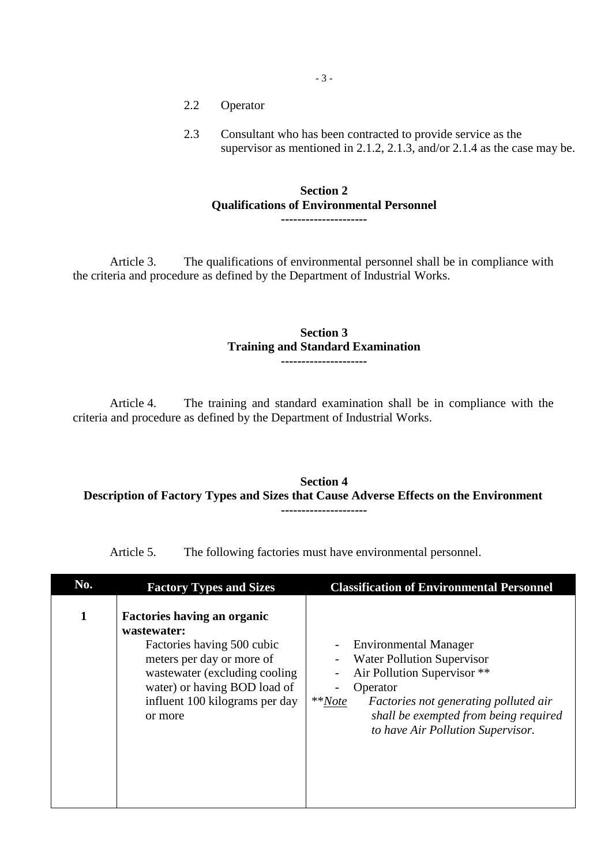- 2.2 Operator
- 2.3 Consultant who has been contracted to provide service as the supervisor as mentioned in 2.1.2, 2.1.3, and/or 2.1.4 as the case may be.

### **Section 2 Qualifications of Environmental Personnel ---------------------**

Article 3. The qualifications of environmental personnel shall be in compliance with the criteria and procedure as defined by the Department of Industrial Works.

### **Section 3 Training and Standard Examination ---------------------**

Article 4. The training and standard examination shall be in compliance with the criteria and procedure as defined by the Department of Industrial Works.

### **Section 4 Description of Factory Types and Sizes that Cause Adverse Effects on the Environment ---------------------**

Article 5. The following factories must have environmental personnel.

| No. | <b>Factory Types and Sizes</b>                                                                                                                                                                                              | <b>Classification of Environmental Personnel</b>                                                                                                                                                                                                                    |
|-----|-----------------------------------------------------------------------------------------------------------------------------------------------------------------------------------------------------------------------------|---------------------------------------------------------------------------------------------------------------------------------------------------------------------------------------------------------------------------------------------------------------------|
| 1   | <b>Factories having an organic</b><br>wastewater:<br>Factories having 500 cubic<br>meters per day or more of<br>wastewater (excluding cooling)<br>water) or having BOD load of<br>influent 100 kilograms per day<br>or more | <b>Environmental Manager</b><br><b>Water Pollution Supervisor</b><br>Air Pollution Supervisor **<br>Operator<br>$*$ <sup>*</sup> <i>Note</i><br>Factories not generating polluted air<br>shall be exempted from being required<br>to have Air Pollution Supervisor. |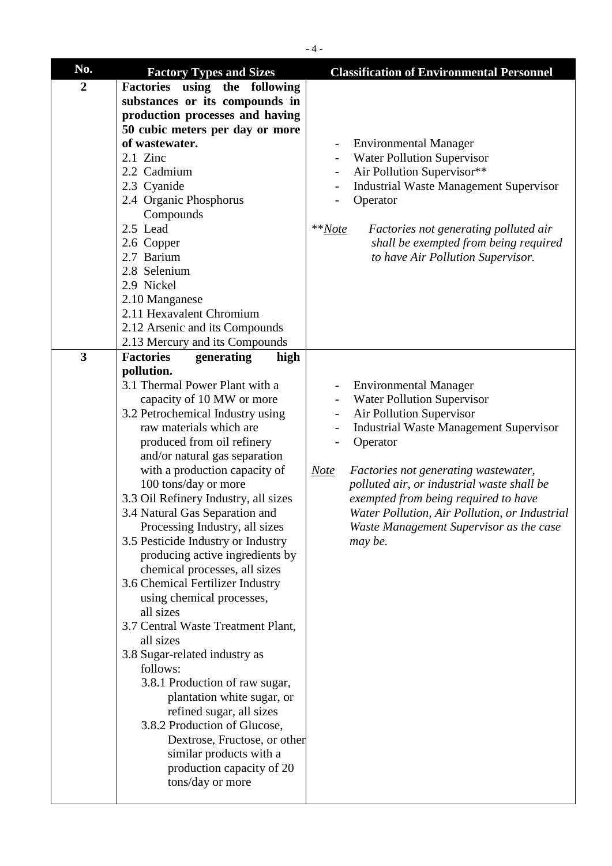| No.            | <b>Factory Types and Sizes</b>                                   | <b>Classification of Environmental Personnel</b>                                                  |
|----------------|------------------------------------------------------------------|---------------------------------------------------------------------------------------------------|
| $\overline{2}$ | Factories using the following                                    |                                                                                                   |
|                | substances or its compounds in                                   |                                                                                                   |
|                | production processes and having                                  |                                                                                                   |
|                | 50 cubic meters per day or more                                  |                                                                                                   |
|                | of wastewater.                                                   | <b>Environmental Manager</b>                                                                      |
|                | $2.1$ Zinc                                                       | <b>Water Pollution Supervisor</b>                                                                 |
|                | 2.2 Cadmium                                                      | Air Pollution Supervisor**                                                                        |
|                | 2.3 Cyanide                                                      | <b>Industrial Waste Management Supervisor</b>                                                     |
|                | 2.4 Organic Phosphorus                                           | Operator                                                                                          |
|                | Compounds                                                        |                                                                                                   |
|                | 2.5 Lead                                                         | $*Note$<br>Factories not generating polluted air                                                  |
|                | 2.6 Copper                                                       | shall be exempted from being required                                                             |
|                | 2.7 Barium                                                       | to have Air Pollution Supervisor.                                                                 |
|                | 2.8 Selenium                                                     |                                                                                                   |
|                | 2.9 Nickel                                                       |                                                                                                   |
|                | 2.10 Manganese                                                   |                                                                                                   |
|                | 2.11 Hexavalent Chromium                                         |                                                                                                   |
|                | 2.12 Arsenic and its Compounds                                   |                                                                                                   |
|                | 2.13 Mercury and its Compounds                                   |                                                                                                   |
| $\overline{3}$ | <b>Factories</b><br>generating<br>high                           |                                                                                                   |
|                | pollution.                                                       |                                                                                                   |
|                | 3.1 Thermal Power Plant with a                                   | <b>Environmental Manager</b><br>$\qquad \qquad \blacksquare$                                      |
|                | capacity of 10 MW or more                                        | <b>Water Pollution Supervisor</b>                                                                 |
|                | 3.2 Petrochemical Industry using                                 | Air Pollution Supervisor                                                                          |
|                | raw materials which are                                          | <b>Industrial Waste Management Supervisor</b>                                                     |
|                | produced from oil refinery                                       | Operator                                                                                          |
|                | and/or natural gas separation                                    |                                                                                                   |
|                | with a production capacity of                                    |                                                                                                   |
|                | 100 tons/day or more                                             | <b>Note</b><br>Factories not generating wastewater,<br>polluted air, or industrial waste shall be |
|                | 3.3 Oil Refinery Industry, all sizes                             |                                                                                                   |
|                |                                                                  | exempted from being required to have                                                              |
|                | 3.4 Natural Gas Separation and<br>Processing Industry, all sizes | Water Pollution, Air Pollution, or Industrial                                                     |
|                |                                                                  | Waste Management Supervisor as the case                                                           |
|                | 3.5 Pesticide Industry or Industry                               | may be.                                                                                           |
|                | producing active ingredients by                                  |                                                                                                   |
|                | chemical processes, all sizes                                    |                                                                                                   |
|                | 3.6 Chemical Fertilizer Industry                                 |                                                                                                   |
|                | using chemical processes,                                        |                                                                                                   |
|                | all sizes                                                        |                                                                                                   |
|                | 3.7 Central Waste Treatment Plant,<br>all sizes                  |                                                                                                   |
|                |                                                                  |                                                                                                   |
|                | 3.8 Sugar-related industry as                                    |                                                                                                   |
|                | follows:                                                         |                                                                                                   |
|                | 3.8.1 Production of raw sugar,                                   |                                                                                                   |
|                | plantation white sugar, or                                       |                                                                                                   |
|                | refined sugar, all sizes                                         |                                                                                                   |
|                | 3.8.2 Production of Glucose,                                     |                                                                                                   |
|                | Dextrose, Fructose, or other                                     |                                                                                                   |
|                | similar products with a                                          |                                                                                                   |
|                | production capacity of 20                                        |                                                                                                   |
|                | tons/day or more                                                 |                                                                                                   |
|                |                                                                  |                                                                                                   |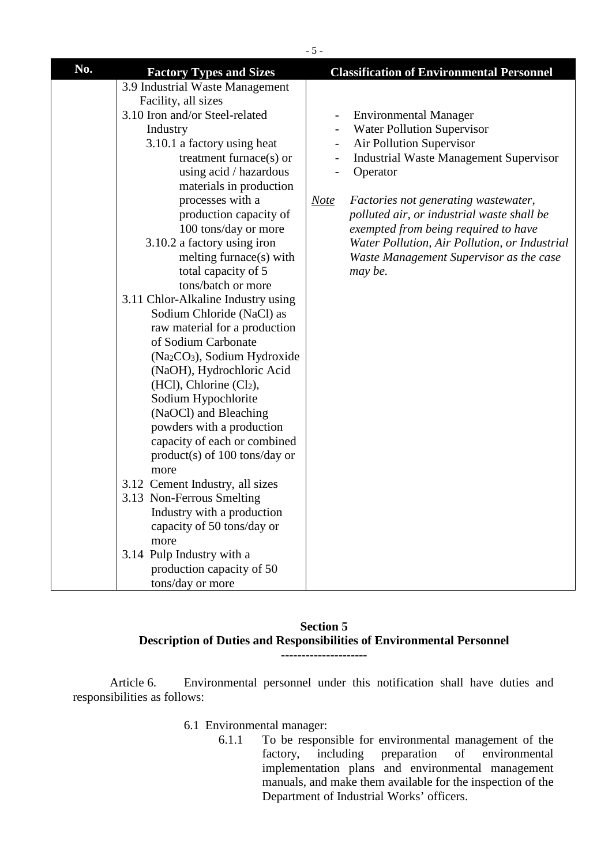| $-5-$ |                                                      |                                                                           |  |  |
|-------|------------------------------------------------------|---------------------------------------------------------------------------|--|--|
| No.   | <b>Factory Types and Sizes</b>                       | <b>Classification of Environmental Personnel</b>                          |  |  |
|       | 3.9 Industrial Waste Management                      |                                                                           |  |  |
|       | Facility, all sizes                                  |                                                                           |  |  |
|       | 3.10 Iron and/or Steel-related                       | <b>Environmental Manager</b><br>$\qquad \qquad \blacksquare$              |  |  |
|       | Industry                                             | <b>Water Pollution Supervisor</b>                                         |  |  |
|       | 3.10.1 a factory using heat                          | Air Pollution Supervisor<br>$\qquad \qquad -$                             |  |  |
|       | treatment furnace $(s)$ or                           | <b>Industrial Waste Management Supervisor</b><br>$\overline{\phantom{a}}$ |  |  |
|       | using acid / hazardous                               | Operator                                                                  |  |  |
|       | materials in production                              |                                                                           |  |  |
|       | processes with a                                     | <b>Note</b><br>Factories not generating wastewater,                       |  |  |
|       | production capacity of                               | polluted air, or industrial waste shall be                                |  |  |
|       | 100 tons/day or more                                 | exempted from being required to have                                      |  |  |
|       | 3.10.2 a factory using iron                          | Water Pollution, Air Pollution, or Industrial                             |  |  |
|       | melting furnace(s) with                              | Waste Management Supervisor as the case                                   |  |  |
|       | total capacity of 5                                  | may be.                                                                   |  |  |
|       | tons/batch or more                                   |                                                                           |  |  |
|       | 3.11 Chlor-Alkaline Industry using                   |                                                                           |  |  |
|       | Sodium Chloride (NaCl) as                            |                                                                           |  |  |
|       | raw material for a production<br>of Sodium Carbonate |                                                                           |  |  |
|       | (Na <sub>2</sub> CO <sub>3</sub> ), Sodium Hydroxide |                                                                           |  |  |
|       | (NaOH), Hydrochloric Acid                            |                                                                           |  |  |
|       | $(HCl)$ , Chlorine $(Cl2)$ ,                         |                                                                           |  |  |
|       | Sodium Hypochlorite                                  |                                                                           |  |  |
|       | (NaOCl) and Bleaching                                |                                                                           |  |  |
|       | powders with a production                            |                                                                           |  |  |
|       | capacity of each or combined                         |                                                                           |  |  |
|       | $product(s)$ of 100 tons/day or                      |                                                                           |  |  |
|       | more                                                 |                                                                           |  |  |
|       | 3.12 Cement Industry, all sizes                      |                                                                           |  |  |
|       | 3.13 Non-Ferrous Smelting                            |                                                                           |  |  |
|       | Industry with a production                           |                                                                           |  |  |
|       | capacity of 50 tons/day or                           |                                                                           |  |  |
|       | more                                                 |                                                                           |  |  |
|       | 3.14 Pulp Industry with a                            |                                                                           |  |  |
|       | production capacity of 50                            |                                                                           |  |  |
|       | tons/day or more                                     |                                                                           |  |  |

### **Section 5 Description of Duties and Responsibilities of Environmental Personnel ---------------------**

Article 6. Environmental personnel under this notification shall have duties and responsibilities as follows:

- 6.1 Environmental manager:
	- 6.1.1 To be responsible for environmental management of the factory, including preparation of environmental implementation plans and environmental management manuals, and make them available for the inspection of the Department of Industrial Works' officers.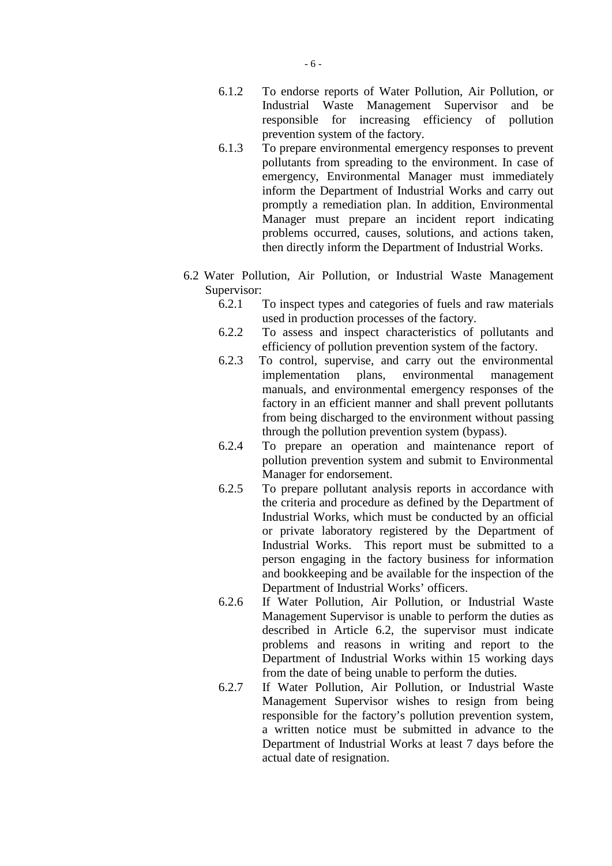- 6.1.2 To endorse reports of Water Pollution, Air Pollution, or Industrial Waste Management Supervisor and be responsible for increasing efficiency of pollution prevention system of the factory.
- 6.1.3 To prepare environmental emergency responses to prevent pollutants from spreading to the environment. In case of emergency, Environmental Manager must immediately inform the Department of Industrial Works and carry out promptly a remediation plan. In addition, Environmental Manager must prepare an incident report indicating problems occurred, causes, solutions, and actions taken, then directly inform the Department of Industrial Works.
- 6.2 Water Pollution, Air Pollution, or Industrial Waste Management Supervisor:
	- 6.2.1 To inspect types and categories of fuels and raw materials used in production processes of the factory.
	- 6.2.2 To assess and inspect characteristics of pollutants and efficiency of pollution prevention system of the factory.
	- 6.2.3 To control, supervise, and carry out the environmental implementation plans, environmental management manuals, and environmental emergency responses of the factory in an efficient manner and shall prevent pollutants from being discharged to the environment without passing through the pollution prevention system (bypass).
	- 6.2.4 To prepare an operation and maintenance report of pollution prevention system and submit to Environmental Manager for endorsement.
	- 6.2.5 To prepare pollutant analysis reports in accordance with the criteria and procedure as defined by the Department of Industrial Works, which must be conducted by an official or private laboratory registered by the Department of Industrial Works. This report must be submitted to a person engaging in the factory business for information and bookkeeping and be available for the inspection of the Department of Industrial Works' officers.
	- 6.2.6 If Water Pollution, Air Pollution, or Industrial Waste Management Supervisor is unable to perform the duties as described in Article 6.2, the supervisor must indicate problems and reasons in writing and report to the Department of Industrial Works within 15 working days from the date of being unable to perform the duties.
	- 6.2.7 If Water Pollution, Air Pollution, or Industrial Waste Management Supervisor wishes to resign from being responsible for the factory's pollution prevention system, a written notice must be submitted in advance to the Department of Industrial Works at least 7 days before the actual date of resignation.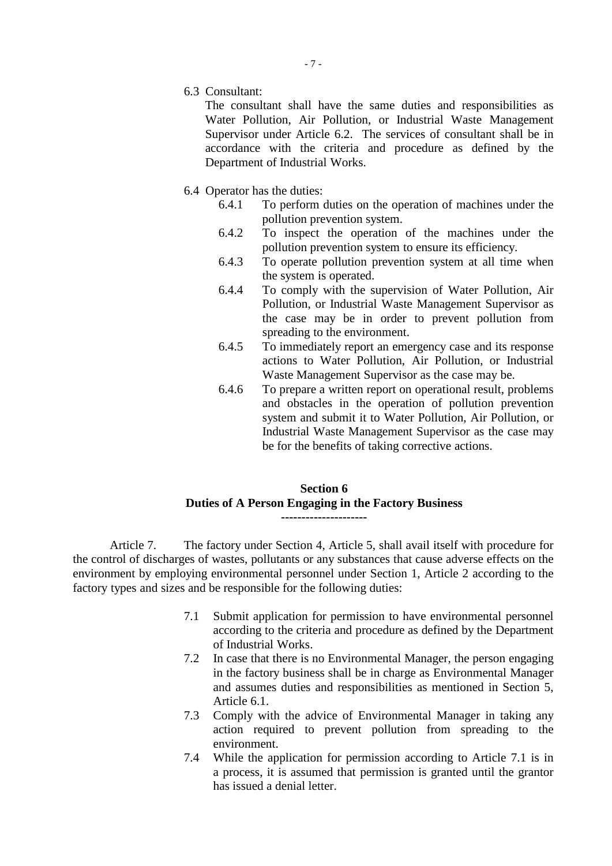6.3 Consultant:

The consultant shall have the same duties and responsibilities as Water Pollution, Air Pollution, or Industrial Waste Management Supervisor under Article 6.2. The services of consultant shall be in accordance with the criteria and procedure as defined by the Department of Industrial Works.

- 6.4 Operator has the duties:
	- 6.4.1 To perform duties on the operation of machines under the pollution prevention system.
	- 6.4.2 To inspect the operation of the machines under the pollution prevention system to ensure its efficiency.
	- 6.4.3 To operate pollution prevention system at all time when the system is operated.
	- 6.4.4 To comply with the supervision of Water Pollution, Air Pollution, or Industrial Waste Management Supervisor as the case may be in order to prevent pollution from spreading to the environment.
	- 6.4.5 To immediately report an emergency case and its response actions to Water Pollution, Air Pollution, or Industrial Waste Management Supervisor as the case may be.
	- 6.4.6 To prepare a written report on operational result, problems and obstacles in the operation of pollution prevention system and submit it to Water Pollution, Air Pollution, or Industrial Waste Management Supervisor as the case may be for the benefits of taking corrective actions.

# **Section 6 Duties of A Person Engaging in the Factory Business ---------------------**

Article 7. The factory under Section 4, Article 5, shall avail itself with procedure for the control of discharges of wastes, pollutants or any substances that cause adverse effects on the environment by employing environmental personnel under Section 1, Article 2 according to the factory types and sizes and be responsible for the following duties:

- 7.1 Submit application for permission to have environmental personnel according to the criteria and procedure as defined by the Department of Industrial Works.
- 7.2 In case that there is no Environmental Manager, the person engaging in the factory business shall be in charge as Environmental Manager and assumes duties and responsibilities as mentioned in Section 5, Article 6.1.
- 7.3 Comply with the advice of Environmental Manager in taking any action required to prevent pollution from spreading to the environment.
- 7.4 While the application for permission according to Article 7.1 is in a process, it is assumed that permission is granted until the grantor has issued a denial letter.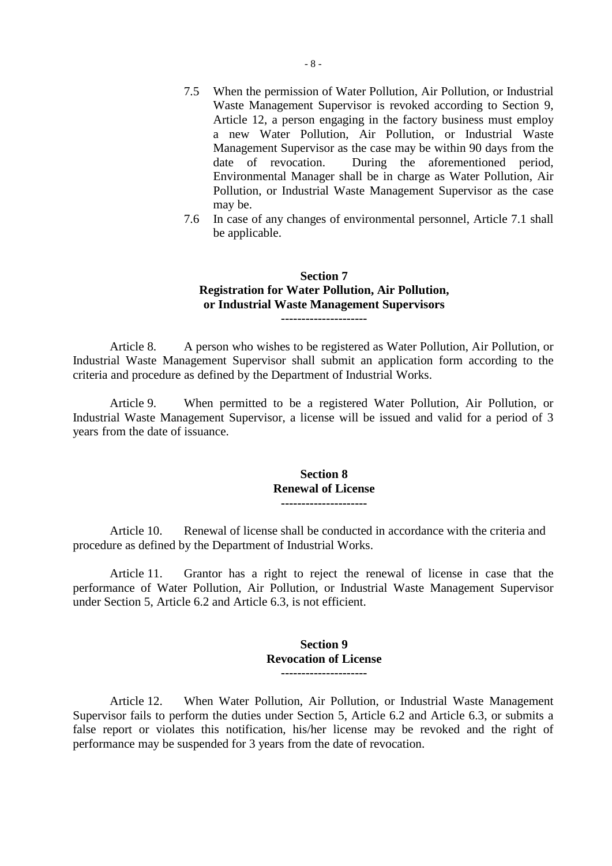- 7.5 When the permission of Water Pollution, Air Pollution, or Industrial Waste Management Supervisor is revoked according to Section 9, Article 12, a person engaging in the factory business must employ a new Water Pollution, Air Pollution, or Industrial Waste Management Supervisor as the case may be within 90 days from the date of revocation. During the aforementioned period, Environmental Manager shall be in charge as Water Pollution, Air Pollution, or Industrial Waste Management Supervisor as the case may be.
- 7.6 In case of any changes of environmental personnel, Article 7.1 shall be applicable.

### **Section 7 Registration for Water Pollution, Air Pollution, or Industrial Waste Management Supervisors ---------------------**

Article 8. A person who wishes to be registered as Water Pollution, Air Pollution, or Industrial Waste Management Supervisor shall submit an application form according to the criteria and procedure as defined by the Department of Industrial Works.

Article 9. When permitted to be a registered Water Pollution, Air Pollution, or Industrial Waste Management Supervisor, a license will be issued and valid for a period of 3 years from the date of issuance.

#### **Section 8 Renewal of License ---------------------**

Article 10. Renewal of license shall be conducted in accordance with the criteria and procedure as defined by the Department of Industrial Works.

Article 11. Grantor has a right to reject the renewal of license in case that the performance of Water Pollution, Air Pollution, or Industrial Waste Management Supervisor under Section 5, Article 6.2 and Article 6.3, is not efficient.

### **Section 9 Revocation of License ---------------------**

Article 12. When Water Pollution, Air Pollution, or Industrial Waste Management Supervisor fails to perform the duties under Section 5, Article 6.2 and Article 6.3, or submits a false report or violates this notification, his/her license may be revoked and the right of performance may be suspended for 3 years from the date of revocation.